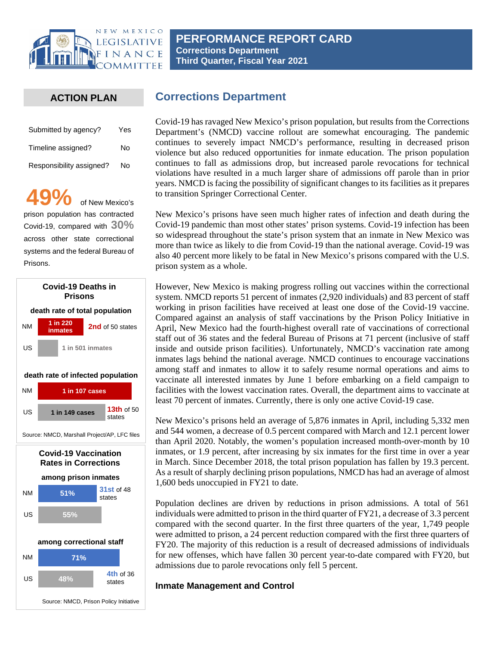

## **PERFORMANCE REPORT CARD Corrections Department Third Quarter, Fiscal Year 2021**

## **ACTION PLAN**

| Submitted by agency?     | Yes |
|--------------------------|-----|
| Timeline assigned?       | N٥  |
| Responsibility assigned? | No  |

**49%** of New Mexico's prison population has contracted Covid-19, compared with **30%** across other state correctional systems and the federal Bureau of Prisons.



Source: NMCD, Prison Policy Initiative

# **Corrections Department**

Covid-19 has ravaged New Mexico's prison population, but results from the Corrections Department's (NMCD) vaccine rollout are somewhat encouraging. The pandemic continues to severely impact NMCD's performance, resulting in decreased prison violence but also reduced opportunities for inmate education. The prison population continues to fall as admissions drop, but increased parole revocations for technical violations have resulted in a much larger share of admissions off parole than in prior years. NMCD is facing the possibility of significant changes to its facilities as it prepares to transition Springer Correctional Center.

New Mexico's prisons have seen much higher rates of infection and death during the Covid-19 pandemic than most other states' prison systems. Covid-19 infection has been so widespread throughout the state's prison system that an inmate in New Mexico was more than twice as likely to die from Covid-19 than the national average. Covid-19 was also 40 percent more likely to be fatal in New Mexico's prisons compared with the U.S. prison system as a whole.

However, New Mexico is making progress rolling out vaccines within the correctional system. NMCD reports 51 percent of inmates (2,920 individuals) and 83 percent of staff working in prison facilities have received at least one dose of the Covid-19 vaccine. Compared against an analysis of staff vaccinations by the Prison Policy Initiative in April, New Mexico had the fourth-highest overall rate of vaccinations of correctional staff out of 36 states and the federal Bureau of Prisons at 71 percent (inclusive of staff inside and outside prison facilities). Unfortunately, NMCD's vaccination rate among inmates lags behind the national average. NMCD continues to encourage vaccinations among staff and inmates to allow it to safely resume normal operations and aims to vaccinate all interested inmates by June 1 before embarking on a field campaign to facilities with the lowest vaccination rates. Overall, the department aims to vaccinate at least 70 percent of inmates. Currently, there is only one active Covid-19 case.

New Mexico's prisons held an average of 5,876 inmates in April, including 5,332 men and 544 women, a decrease of 0.5 percent compared with March and 12.1 percent lower than April 2020. Notably, the women's population increased month-over-month by 10 inmates, or 1.9 percent, after increasing by six inmates for the first time in over a year in March. Since December 2018, the total prison population has fallen by 19.3 percent. As a result of sharply declining prison populations, NMCD has had an average of almost 1,600 beds unoccupied in FY21 to date.

Population declines are driven by reductions in prison admissions. A total of 561 individuals were admitted to prison in the third quarter of FY21, a decrease of 3.3 percent compared with the second quarter. In the first three quarters of the year, 1,749 people were admitted to prison, a 24 percent reduction compared with the first three quarters of FY20. The majority of this reduction is a result of decreased admissions of individuals for new offenses, which have fallen 30 percent year-to-date compared with FY20, but admissions due to parole revocations only fell 5 percent.

### **Inmate Management and Control**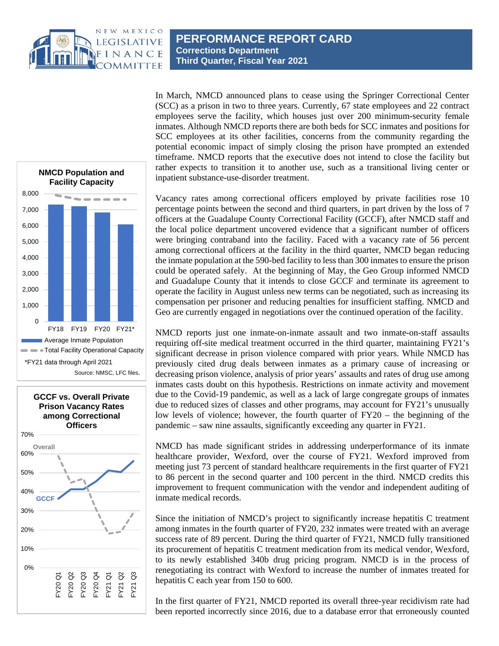

(SCC) as a prison in two to three years. Currently, 67 state employees and 22 contract employees serve the facility, which houses just over 200 minimum-security female inmates. Although NMCD reports there are both beds for SCC inmates and positions for SCC employees at its other facilities, concerns from the community regarding the potential economic impact of simply closing the prison have prompted an extended timeframe. NMCD reports that the executive does not intend to close the facility but rather expects to transition it to another use, such as a transitional living center or inpatient substance-use-disorder treatment.

In March, NMCD announced plans to cease using the Springer Correctional Center

Vacancy rates among correctional officers employed by private facilities rose 10 percentage points between the second and third quarters, in part driven by the loss of 7 officers at the Guadalupe County Correctional Facility (GCCF), after NMCD staff and the local police department uncovered evidence that a significant number of officers were bringing contraband into the facility. Faced with a vacancy rate of 56 percent among correctional officers at the facility in the third quarter, NMCD began reducing the inmate population at the 590-bed facility to less than 300 inmates to ensure the prison could be operated safely. At the beginning of May, the Geo Group informed NMCD and Guadalupe County that it intends to close GCCF and terminate its agreement to operate the facility in August unless new terms can be negotiated, such as increasing its compensation per prisoner and reducing penalties for insufficient staffing. NMCD and Geo are currently engaged in negotiations over the continued operation of the facility.

NMCD reports just one inmate-on-inmate assault and two inmate-on-staff assaults requiring off-site medical treatment occurred in the third quarter, maintaining FY21's significant decrease in prison violence compared with prior years. While NMCD has previously cited drug deals between inmates as a primary cause of increasing or decreasing prison violence, analysis of prior years' assaults and rates of drug use among inmates casts doubt on this hypothesis. Restrictions on inmate activity and movement due to the Covid-19 pandemic, as well as a lack of large congregate groups of inmates due to reduced sizes of classes and other programs, may account for FY21's unusually low levels of violence; however, the fourth quarter of FY20 – the beginning of the pandemic – saw nine assaults, significantly exceeding any quarter in FY21.

NMCD has made significant strides in addressing underperformance of its inmate healthcare provider, Wexford, over the course of FY21. Wexford improved from meeting just 73 percent of standard healthcare requirements in the first quarter of FY21 to 86 percent in the second quarter and 100 percent in the third. NMCD credits this improvement to frequent communication with the vendor and independent auditing of inmate medical records.

Since the initiation of NMCD's project to significantly increase hepatitis C treatment among inmates in the fourth quarter of FY20, 232 inmates were treated with an average success rate of 89 percent. During the third quarter of FY21, NMCD fully transitioned its procurement of hepatitis C treatment medication from its medical vendor, Wexford, to its newly established 340b drug pricing program. NMCD is in the process of renegotiating its contract with Wexford to increase the number of inmates treated for hepatitis C each year from 150 to 600.

In the first quarter of FY21, NMCD reported its overall three-year recidivism rate had been reported incorrectly since 2016, due to a database error that erroneously counted



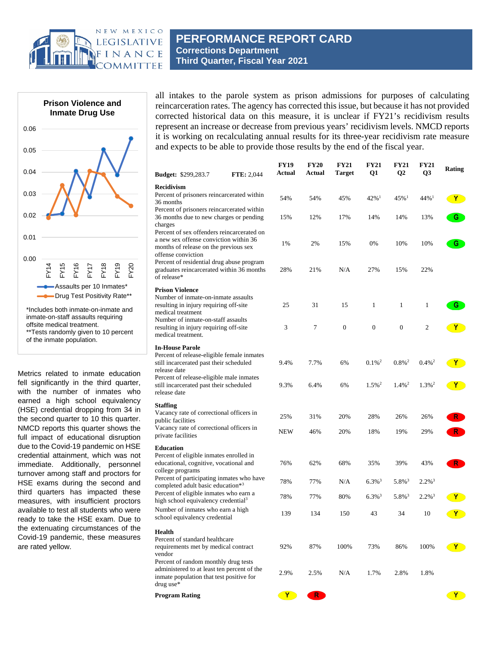



offsite medical treatment. \*\*Tests randomly given to 10 percent of the inmate population.

Metrics related to inmate education fell significantly in the third quarter, with the number of inmates who earned a high school equivalency (HSE) credential dropping from 34 in the second quarter to 10 this quarter. NMCD reports this quarter shows the full impact of educational disruption due to the Covid-19 pandemic on HSE credential attainment, which was not immediate. Additionally, personnel turnover among staff and proctors for HSE exams during the second and third quarters has impacted these measures, with insufficient proctors available to test all students who were ready to take the HSE exam. Due to the extenuating circumstances of the Covid-19 pandemic, these measures are rated yellow.

all intakes to the parole system as prison admissions for purposes of calculating reincarceration rates. The agency has corrected this issue, but because it has not provided corrected historical data on this measure, it is unclear if FY21's recidivism results represent an increase or decrease from previous years' recidivism levels. NMCD reports it is working on recalculating annual results for its three-year recidivism rate measure and expects to be able to provide those results by the end of the fiscal year.

| <b>Budget:</b> \$299,283.7                                                                                                                          | <b>FTE: 2,044</b> | <b>FY19</b><br>Actual | <b>FY20</b><br>Actual | <b>FY21</b><br>Target | <b>FY21</b><br>Q1    | <b>FY21</b><br>Q <sub>2</sub> | <b>FY21</b><br>Q <sub>3</sub> | Rating       |
|-----------------------------------------------------------------------------------------------------------------------------------------------------|-------------------|-----------------------|-----------------------|-----------------------|----------------------|-------------------------------|-------------------------------|--------------|
| <b>Recidivism</b>                                                                                                                                   |                   |                       |                       |                       |                      |                               |                               |              |
| Percent of prisoners reincarcerated within<br>36 months                                                                                             |                   | 54%                   | 54%                   | 45%                   | $42\%$ <sup>1</sup>  | $45\%$ <sup>1</sup>           | $44\%$ <sup>1</sup>           | <b>Y</b>     |
| Percent of prisoners reincarcerated within<br>36 months due to new charges or pending<br>charges                                                    |                   | 15%                   | 12%                   | 17%                   | 14%                  | 14%                           | 13%                           | G            |
| Percent of sex offenders reincarcerated on<br>a new sex offense conviction within 36<br>months of release on the previous sex<br>offense conviction |                   | 1%                    | 2%                    | 15%                   | 0%                   | 10%                           | 10%                           | G            |
| Percent of residential drug abuse program<br>graduates reincarcerated within 36 months<br>of release*                                               |                   | 28%                   | 21%                   | N/A                   | 27%                  | 15%                           | 22%                           |              |
| <b>Prison Violence</b>                                                                                                                              |                   |                       |                       |                       |                      |                               |                               |              |
| Number of inmate-on-inmate assaults<br>resulting in injury requiring off-site<br>medical treatment                                                  |                   | 25                    | 31                    | 15                    | 1                    | 1                             | $\mathbf{1}$                  | G.           |
| Number of inmate-on-staff assaults<br>resulting in injury requiring off-site<br>medical treatment.                                                  |                   | 3                     | 7                     | $\boldsymbol{0}$      | $\overline{0}$       | $\mathbf{0}$                  | $\overline{c}$                | $\mathbf{Y}$ |
| <b>In-House Parole</b><br>Percent of release-eligible female inmates<br>still incarcerated past their scheduled<br>release date                     |                   | 9.4%                  | 7.7%                  | 6%                    | $0.1\%$ <sup>2</sup> | $0.8\%$ <sup>2</sup>          | $0.4\%$ <sup>2</sup>          | <b>Y</b>     |
| Percent of release-eligible male inmates<br>still incarcerated past their scheduled<br>release date                                                 |                   | 9.3%                  | 6.4%                  | 6%                    | $1.5\%$ <sup>2</sup> | $1.4\%$ <sup>2</sup>          | $1.3\%$ <sup>2</sup>          | <b>Y</b>     |
| Staffing                                                                                                                                            |                   |                       |                       |                       |                      |                               |                               |              |
| Vacancy rate of correctional officers in<br>public facilities                                                                                       |                   | 25%                   | 31%                   | 20%                   | 28%                  | 26%                           | 26%                           | R.           |
| Vacancy rate of correctional officers in<br>private facilities                                                                                      |                   | NEW                   | 46%                   | 20%                   | 18%                  | 19%                           | 29%                           | R            |
| Education                                                                                                                                           |                   |                       |                       |                       |                      |                               |                               |              |
| Percent of eligible inmates enrolled in<br>educational, cognitive, vocational and<br>college programs                                               |                   | 76%                   | 62%                   | 68%                   | 35%                  | 39%                           | 43%                           | $R^{-}$      |
| Percent of participating inmates who have<br>completed adult basic education*3                                                                      |                   | 78%                   | 77%                   | N/A                   | $6.3\%$ <sup>3</sup> | $5.8\%$ <sup>3</sup>          | $2.2\%$ <sup>3</sup>          |              |
| Percent of eligible inmates who earn a<br>high school equivalency credential <sup>3</sup>                                                           |                   | 78%                   | 77%                   | 80%                   | $6.3\%$ <sup>3</sup> | $5.8\%$ <sup>3</sup>          | $2.2\%$ <sup>3</sup>          | Y.           |
| Number of inmates who earn a high<br>school equivalency credential                                                                                  |                   | 139                   | 134                   | 150                   | 43                   | 34                            | 10                            | Y.           |
| Health                                                                                                                                              |                   |                       |                       |                       |                      |                               |                               |              |
| Percent of standard healthcare<br>requirements met by medical contract<br>vendor                                                                    |                   | 92%                   | 87%                   | 100%                  | 73%                  | 86%                           | 100%                          |              |
| Percent of random monthly drug tests<br>administered to at least ten percent of the<br>inmate population that test positive for<br>drug use*        |                   | 2.9%                  | 2.5%                  | N/A                   | 1.7%                 | 2.8%                          | 1.8%                          |              |
| Program Rating                                                                                                                                      |                   | $\bullet$ Y           | $\mathsf{R}$          |                       |                      |                               |                               | $\mathbf{Y}$ |